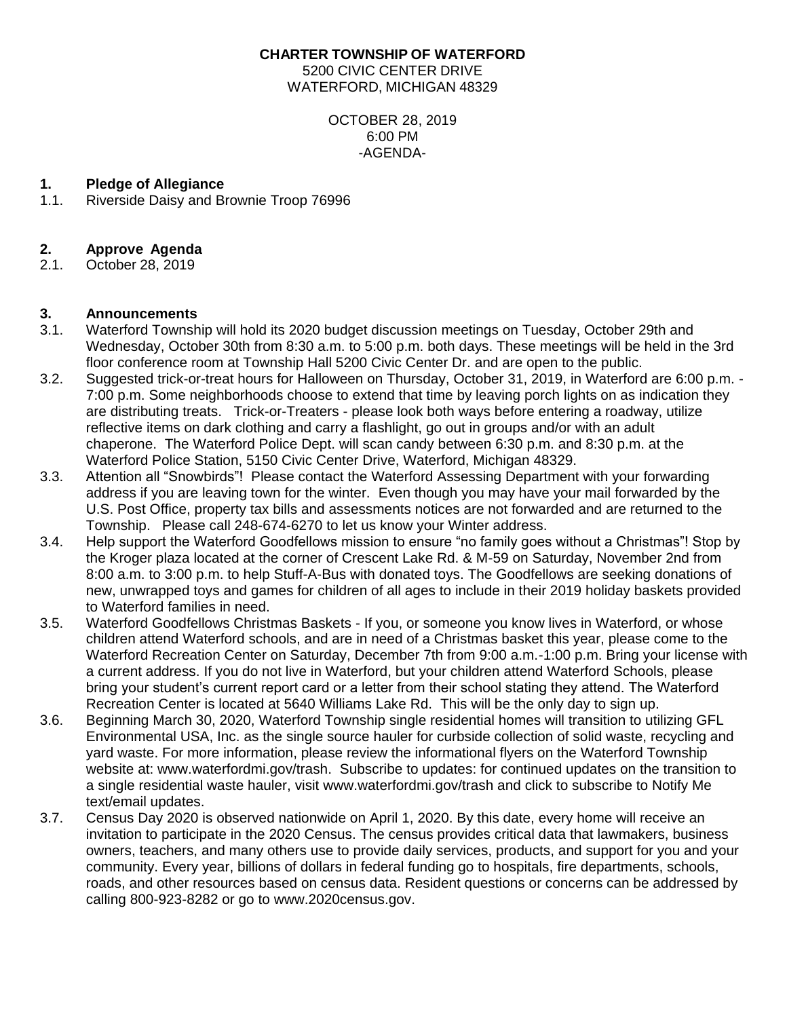#### **CHARTER TOWNSHIP OF WATERFORD**

5200 CIVIC CENTER DRIVE WATERFORD, MICHIGAN 48329

> OCTOBER 28, 2019 6:00 PM -AGENDA-

# **1. Pledge of Allegiance**

1.1. Riverside Daisy and Brownie Troop 76996

# **2. Approve Agenda**

2.1. October 28, 2019

# **3. Announcements**

- 3.1. Waterford Township will hold its 2020 budget discussion meetings on Tuesday, October 29th and Wednesday, October 30th from 8:30 a.m. to 5:00 p.m. both days. These meetings will be held in the 3rd floor conference room at Township Hall 5200 Civic Center Dr. and are open to the public.
- 3.2. Suggested trick-or-treat hours for Halloween on Thursday, October 31, 2019, in Waterford are 6:00 p.m. 7:00 p.m. Some neighborhoods choose to extend that time by leaving porch lights on as indication they are distributing treats. Trick-or-Treaters - please look both ways before entering a roadway, utilize reflective items on dark clothing and carry a flashlight, go out in groups and/or with an adult chaperone. The Waterford Police Dept. will scan candy between 6:30 p.m. and 8:30 p.m. at the Waterford Police Station, 5150 Civic Center Drive, Waterford, Michigan 48329.
- 3.3. Attention all "Snowbirds"! Please contact the Waterford Assessing Department with your forwarding address if you are leaving town for the winter. Even though you may have your mail forwarded by the U.S. Post Office, property tax bills and assessments notices are not forwarded and are returned to the Township. Please call 248-674-6270 to let us know your Winter address.
- 3.4. Help support the Waterford Goodfellows mission to ensure "no family goes without a Christmas"! Stop by the Kroger plaza located at the corner of Crescent Lake Rd. & M-59 on Saturday, November 2nd from 8:00 a.m. to 3:00 p.m. to help Stuff-A-Bus with donated toys. The Goodfellows are seeking donations of new, unwrapped toys and games for children of all ages to include in their 2019 holiday baskets provided to Waterford families in need.
- 3.5. Waterford Goodfellows Christmas Baskets If you, or someone you know lives in Waterford, or whose children attend Waterford schools, and are in need of a Christmas basket this year, please come to the Waterford Recreation Center on Saturday, December 7th from 9:00 a.m.-1:00 p.m. Bring your license with a current address. If you do not live in Waterford, but your children attend Waterford Schools, please bring your student's current report card or a letter from their school stating they attend. The Waterford Recreation Center is located at 5640 Williams Lake Rd. This will be the only day to sign up.
- 3.6. Beginning March 30, 2020, Waterford Township single residential homes will transition to utilizing GFL Environmental USA, Inc. as the single source hauler for curbside collection of solid waste, recycling and yard waste. For more information, please review the informational flyers on the Waterford Township website at: www.waterfordmi.gov/trash. Subscribe to updates: for continued updates on the transition to a single residential waste hauler, visit www.waterfordmi.gov/trash and click to subscribe to Notify Me text/email updates.
- 3.7. Census Day 2020 is observed nationwide on April 1, 2020. By this date, every home will receive an invitation to participate in the 2020 Census. The census provides critical data that lawmakers, business owners, teachers, and many others use to provide daily services, products, and support for you and your community. Every year, billions of dollars in federal funding go to hospitals, fire departments, schools, roads, and other resources based on census data. Resident questions or concerns can be addressed by calling 800-923-8282 or go to www.2020census.gov.